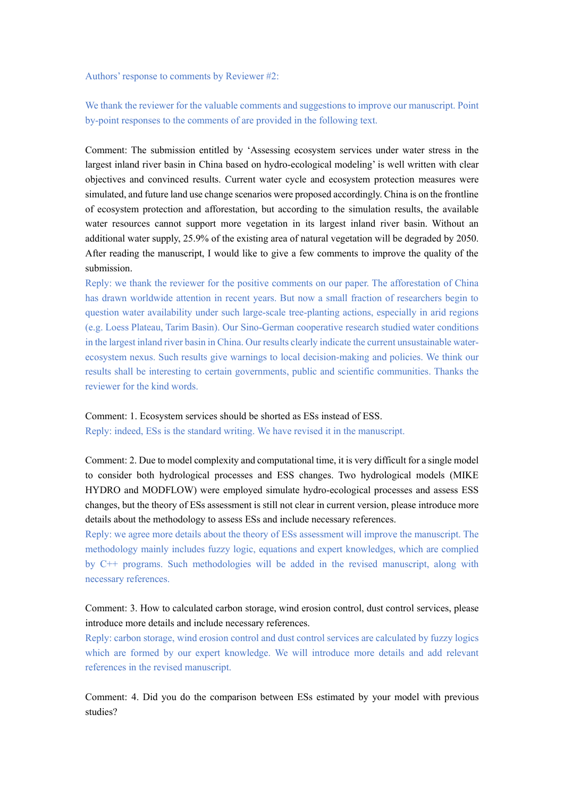Authors' response to comments by Reviewer #2:

We thank the reviewer for the valuable comments and suggestions to improve our manuscript. Point by-point responses to the comments of are provided in the following text.

Comment: The submission entitled by 'Assessing ecosystem services under water stress in the largest inland river basin in China based on hydro-ecological modeling' is well written with clear objectives and convinced results. Current water cycle and ecosystem protection measures were simulated, and future land use change scenarios were proposed accordingly. China is on the frontline of ecosystem protection and afforestation, but according to the simulation results, the available water resources cannot support more vegetation in its largest inland river basin. Without an additional water supply, 25.9% of the existing area of natural vegetation will be degraded by 2050. After reading the manuscript, I would like to give a few comments to improve the quality of the submission.

Reply: we thank the reviewer for the positive comments on our paper. The afforestation of China has drawn worldwide attention in recent years. But now a small fraction of researchers begin to question water availability under such large-scale tree-planting actions, especially in arid regions (e.g. Loess Plateau, Tarim Basin). Our Sino-German cooperative research studied water conditions in the largest inland river basin in China. Our results clearly indicate the current unsustainable waterecosystem nexus. Such results give warnings to local decision-making and policies. We think our results shall be interesting to certain governments, public and scientific communities. Thanks the reviewer for the kind words.

Comment: 1. Ecosystem services should be shorted as ESs instead of ESS. Reply: indeed, ESs is the standard writing. We have revised it in the manuscript.

Comment: 2. Due to model complexity and computational time, it is very difficult for a single model to consider both hydrological processes and ESS changes. Two hydrological models (MIKE HYDRO and MODFLOW) were employed simulate hydro-ecological processes and assess ESS changes, but the theory of ESs assessment is still not clear in current version, please introduce more details about the methodology to assess ESs and include necessary references.

Reply: we agree more details about the theory of ESs assessment will improve the manuscript. The methodology mainly includes fuzzy logic, equations and expert knowledges, which are complied by C++ programs. Such methodologies will be added in the revised manuscript, along with necessary references.

## Comment: 3. How to calculated carbon storage, wind erosion control, dust control services, please introduce more details and include necessary references.

Reply: carbon storage, wind erosion control and dust control services are calculated by fuzzy logics which are formed by our expert knowledge. We will introduce more details and add relevant references in the revised manuscript.

Comment: 4. Did you do the comparison between ESs estimated by your model with previous studies?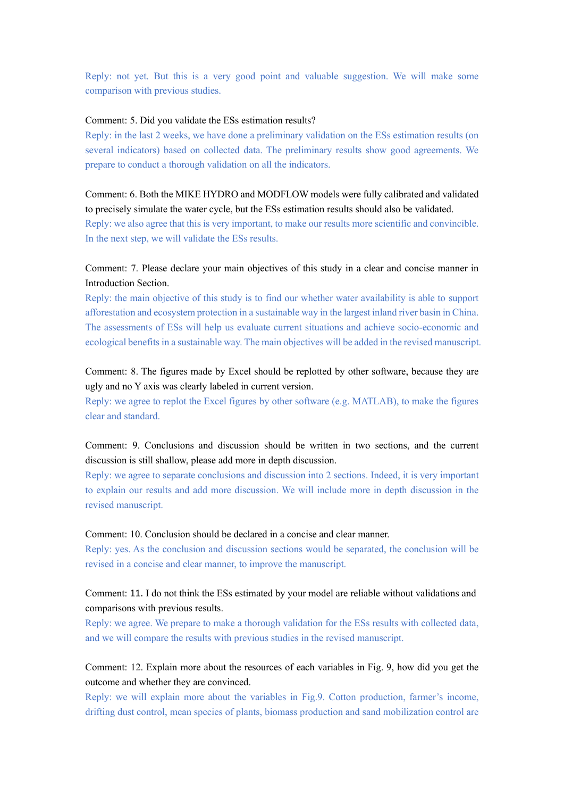Reply: not yet. But this is a very good point and valuable suggestion. We will make some comparison with previous studies.

#### Comment: 5. Did you validate the ESs estimation results?

Reply: in the last 2 weeks, we have done a preliminary validation on the ESs estimation results (on several indicators) based on collected data. The preliminary results show good agreements. We prepare to conduct a thorough validation on all the indicators.

Comment: 6. Both the MIKE HYDRO and MODFLOW models were fully calibrated and validated to precisely simulate the water cycle, but the ESs estimation results should also be validated.

Reply: we also agree that this is very important, to make our results more scientific and convincible. In the next step, we will validate the ESs results.

### Comment: 7. Please declare your main objectives of this study in a clear and concise manner in Introduction Section.

Reply: the main objective of this study is to find our whether water availability is able to support afforestation and ecosystem protection in a sustainable way in the largest inland river basin in China. The assessments of ESs will help us evaluate current situations and achieve socio-economic and ecological benefits in a sustainable way. The main objectives will be added in the revised manuscript.

### Comment: 8. The figures made by Excel should be replotted by other software, because they are ugly and no Y axis was clearly labeled in current version.

Reply: we agree to replot the Excel figures by other software (e.g. MATLAB), to make the figures clear and standard.

## Comment: 9. Conclusions and discussion should be written in two sections, and the current discussion is still shallow, please add more in depth discussion.

Reply: we agree to separate conclusions and discussion into 2 sections. Indeed, it is very important to explain our results and add more discussion. We will include more in depth discussion in the revised manuscript.

#### Comment: 10. Conclusion should be declared in a concise and clear manner.

Reply: yes. As the conclusion and discussion sections would be separated, the conclusion will be revised in a concise and clear manner, to improve the manuscript.

#### Comment: 11. I do not think the ESs estimated by your model are reliable without validations and comparisons with previous results.

Reply: we agree. We prepare to make a thorough validation for the ESs results with collected data, and we will compare the results with previous studies in the revised manuscript.

## Comment: 12. Explain more about the resources of each variables in Fig. 9, how did you get the outcome and whether they are convinced.

Reply: we will explain more about the variables in Fig.9. Cotton production, farmer's income, drifting dust control, mean species of plants, biomass production and sand mobilization control are